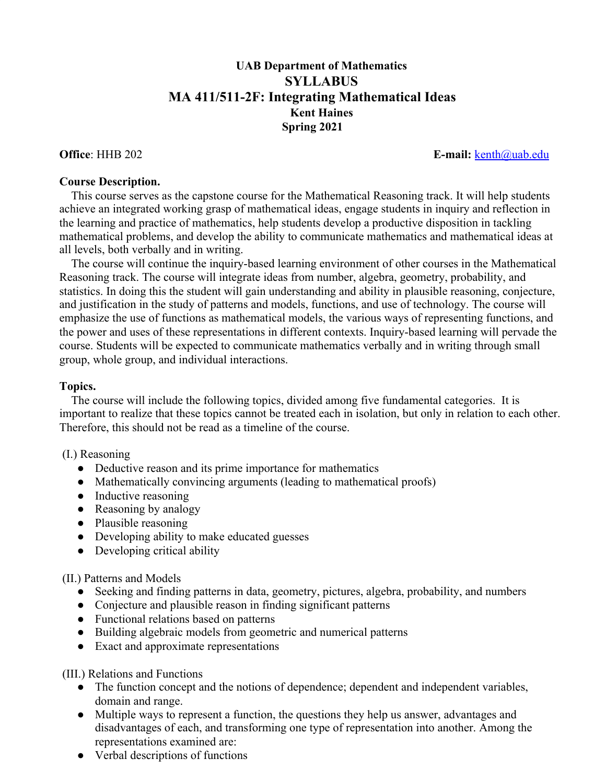# **UAB Department of Mathematics SYLLABUS MA 411/511-2F: Integrating Mathematical Ideas Kent Haines Spring 2021**

### **Office**: HHB 202 **E-mail:** [kenth@uab.edu](mailto:kenth@uab.edu)

#### **Course Description.**

 This course serves as the capstone course for the Mathematical Reasoning track. It will help students achieve an integrated working grasp of mathematical ideas, engage students in inquiry and reflection in the learning and practice of mathematics, help students develop a productive disposition in tackling mathematical problems, and develop the ability to communicate mathematics and mathematical ideas at all levels, both verbally and in writing.

 The course will continue the inquiry-based learning environment of other courses in the Mathematical Reasoning track. The course will integrate ideas from number, algebra, geometry, probability, and statistics. In doing this the student will gain understanding and ability in plausible reasoning, conjecture, and justification in the study of patterns and models, functions, and use of technology. The course will emphasize the use of functions as mathematical models, the various ways of representing functions, and the power and uses of these representations in different contexts. Inquiry-based learning will pervade the course. Students will be expected to communicate mathematics verbally and in writing through small group, whole group, and individual interactions.

## **Topics.**

 The course will include the following topics, divided among five fundamental categories. It is important to realize that these topics cannot be treated each in isolation, but only in relation to each other. Therefore, this should not be read as a timeline of the course.

## (I.) Reasoning

- Deductive reason and its prime importance for mathematics
- Mathematically convincing arguments (leading to mathematical proofs)
- Inductive reasoning
- Reasoning by analogy
- Plausible reasoning
- Developing ability to make educated guesses
- Developing critical ability

#### (II.) Patterns and Models

- Seeking and finding patterns in data, geometry, pictures, algebra, probability, and numbers
- Conjecture and plausible reason in finding significant patterns
- Functional relations based on patterns
- Building algebraic models from geometric and numerical patterns
- Exact and approximate representations

(III.) Relations and Functions

- The function concept and the notions of dependence; dependent and independent variables, domain and range.
- Multiple ways to represent a function, the questions they help us answer, advantages and disadvantages of each, and transforming one type of representation into another. Among the representations examined are:
- Verbal descriptions of functions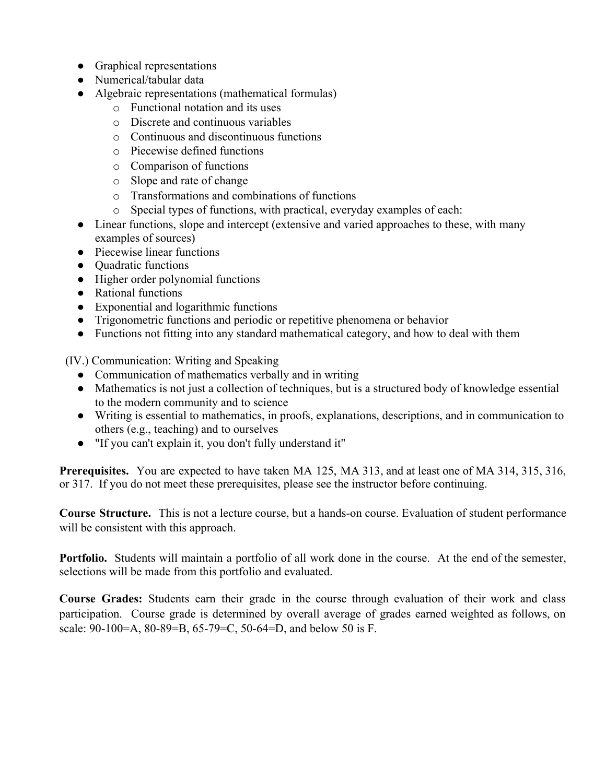- Graphical representations
- Numerical/tabular data
- Algebraic representations (mathematical formulas)
	- o Functional notation and its uses
	- o Discrete and continuous variables
	- o Continuous and discontinuous functions
	- o Piecewise defined functions
	- o Comparison of functions
	- o Slope and rate of change
	- o Transformations and combinations of functions
	- o Special types of functions, with practical, everyday examples of each:
- Linear functions, slope and intercept (extensive and varied approaches to these, with many examples of sources)
- Piecewise linear functions
- Quadratic functions
- Higher order polynomial functions
- Rational functions
- Exponential and logarithmic functions
- Trigonometric functions and periodic or repetitive phenomena or behavior
- Functions not fitting into any standard mathematical category, and how to deal with them

(IV.) Communication: Writing and Speaking

- Communication of mathematics verbally and in writing
- Mathematics is not just a collection of techniques, but is a structured body of knowledge essential to the modern community and to science
- Writing is essential to mathematics, in proofs, explanations, descriptions, and in communication to others (e.g., teaching) and to ourselves
- "If you can't explain it, you don't fully understand it"

**Prerequisites.** You are expected to have taken MA 125, MA 313, and at least one of MA 314, 315, 316, or 317. If you do not meet these prerequisites, please see the instructor before continuing.

**Course Structure.** This is not a lecture course, but a hands-on course. Evaluation of student performance will be consistent with this approach.

**Portfolio.** Students will maintain a portfolio of all work done in the course. At the end of the semester, selections will be made from this portfolio and evaluated.

**Course Grades:** Students earn their grade in the course through evaluation of their work and class participation. Course grade is determined by overall average of grades earned weighted as follows, on scale: 90-100=A, 80-89=B, 65-79=C, 50-64=D, and below 50 is F.